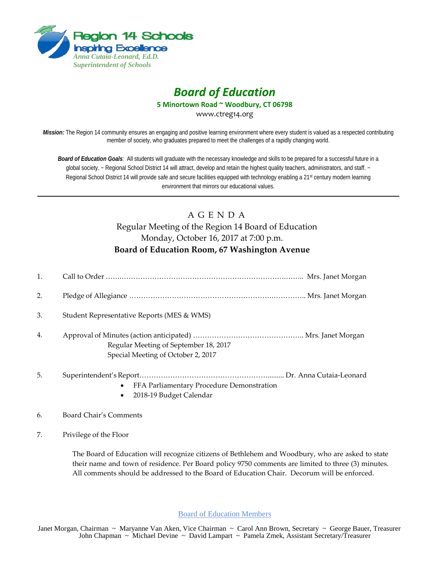

# *Board of Education*

**5 Minortown Road ~ Woodbury, CT 06798**

www.ctreg14.org

*Mission:* The Region 14 community ensures an engaging and positive learning environment where every student is valued as a respected contributing member of society, who graduates prepared to meet the challenges of a rapidly changing world.

*Board of Education Goals:* All students will graduate with the necessary knowledge and skills to be prepared for a successful future in a global society. ~ Regional School District 14 will attract, develop and retain the highest quality teachers, administrators, and staff. ~ Regional School District 14 will provide safe and secure facilities equipped with technology enabling a 21<sup>st</sup> century modern learning environment that mirrors our educational values.

## A G E N D A Regular Meeting of the Region 14 Board of Education Monday, October 16, 2017 at 7:00 p.m. **Board of Education Room, 67 Washington Avenue**

- 1. Call to Order …….…………………………………………………………….…….. Mrs. Janet Morgan 2. Pledge of Allegiance …………………………………………………….………….. Mrs. Janet Morgan 3. Student Representative Reports (MES & WMS) 4. Approval of Minutes (action anticipated) ……………………………………….. Mrs. Janet Morgan Regular Meeting of September 18, 2017 Special Meeting of October 2, 2017 5. Superintendent's Report………………………………………………......... Dr. Anna Cutaia‐Leonard
	- FFA Parliamentary Procedure Demonstration
	- 2018-19 Budget Calendar

#### 6. Board Chair's Comments

7. Privilege of the Floor

The Board of Education will recognize citizens of Bethlehem and Woodbury, who are asked to state their name and town of residence. Per Board policy 9750 comments are limited to three (3) minutes. All comments should be addressed to the Board of Education Chair. Decorum will be enforced.

Board of Education Members